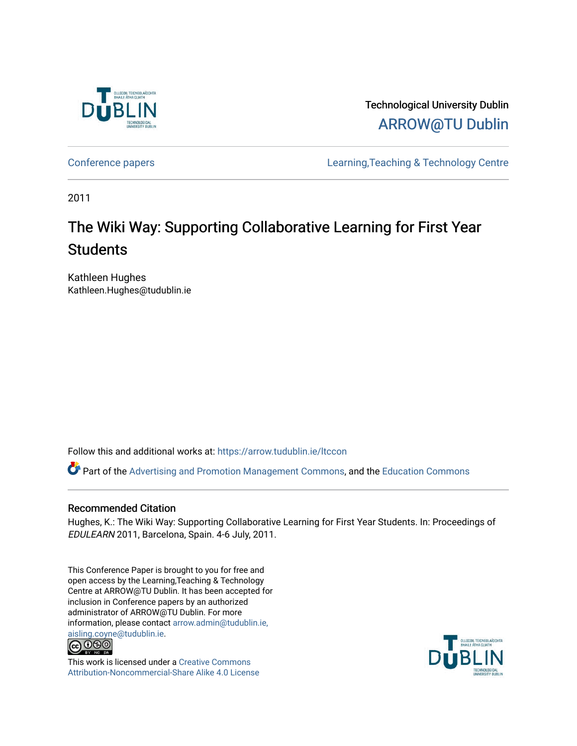

Technological University Dublin [ARROW@TU Dublin](https://arrow.tudublin.ie/) 

[Conference papers](https://arrow.tudublin.ie/ltccon) [Learning,Teaching & Technology Centre](https://arrow.tudublin.ie/ltc) 

2011

# The Wiki Way: Supporting Collaborative Learning for First Year **Students**

Kathleen Hughes Kathleen.Hughes@tudublin.ie

Follow this and additional works at: [https://arrow.tudublin.ie/ltccon](https://arrow.tudublin.ie/ltccon?utm_source=arrow.tudublin.ie%2Fltccon%2F8&utm_medium=PDF&utm_campaign=PDFCoverPages)

Part of the [Advertising and Promotion Management Commons,](http://network.bepress.com/hgg/discipline/626?utm_source=arrow.tudublin.ie%2Fltccon%2F8&utm_medium=PDF&utm_campaign=PDFCoverPages) and the [Education Commons](http://network.bepress.com/hgg/discipline/784?utm_source=arrow.tudublin.ie%2Fltccon%2F8&utm_medium=PDF&utm_campaign=PDFCoverPages) 

#### Recommended Citation

Hughes, K.: The Wiki Way: Supporting Collaborative Learning for First Year Students. In: Proceedings of EDULEARN 2011, Barcelona, Spain. 4-6 July, 2011.

This Conference Paper is brought to you for free and open access by the Learning,Teaching & Technology Centre at ARROW@TU Dublin. It has been accepted for inclusion in Conference papers by an authorized administrator of ARROW@TU Dublin. For more information, please contact [arrow.admin@tudublin.ie,](mailto:arrow.admin@tudublin.ie,%20aisling.coyne@tudublin.ie)  [aisling.coyne@tudublin.ie.](mailto:arrow.admin@tudublin.ie,%20aisling.coyne@tudublin.ie)<br>© 090



This work is licensed under a [Creative Commons](http://creativecommons.org/licenses/by-nc-sa/4.0/) [Attribution-Noncommercial-Share Alike 4.0 License](http://creativecommons.org/licenses/by-nc-sa/4.0/)

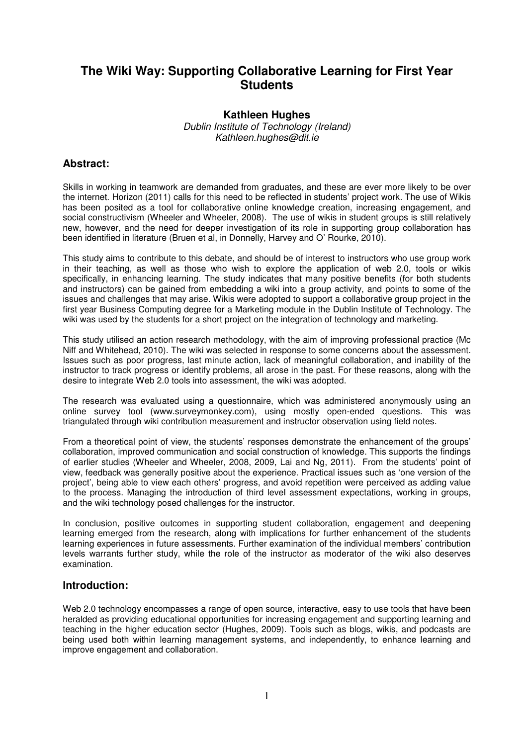## **The Wiki Way: Supporting Collaborative Learning for First Year Students**

### **Kathleen Hughes**

Dublin Institute of Technology (Ireland) Kathleen.hughes@dit.ie

## **Abstract:**

Skills in working in teamwork are demanded from graduates, and these are ever more likely to be over the internet. Horizon (2011) calls for this need to be reflected in students' project work. The use of Wikis has been posited as a tool for collaborative online knowledge creation, increasing engagement, and social constructivism (Wheeler and Wheeler, 2008). The use of wikis in student groups is still relatively new, however, and the need for deeper investigation of its role in supporting group collaboration has been identified in literature (Bruen et al, in Donnelly, Harvey and O' Rourke, 2010).

This study aims to contribute to this debate, and should be of interest to instructors who use group work in their teaching, as well as those who wish to explore the application of web 2.0, tools or wikis specifically, in enhancing learning. The study indicates that many positive benefits (for both students and instructors) can be gained from embedding a wiki into a group activity, and points to some of the issues and challenges that may arise. Wikis were adopted to support a collaborative group project in the first year Business Computing degree for a Marketing module in the Dublin Institute of Technology. The wiki was used by the students for a short project on the integration of technology and marketing.

This study utilised an action research methodology, with the aim of improving professional practice (Mc Niff and Whitehead, 2010). The wiki was selected in response to some concerns about the assessment. Issues such as poor progress, last minute action, lack of meaningful collaboration, and inability of the instructor to track progress or identify problems, all arose in the past. For these reasons, along with the desire to integrate Web 2.0 tools into assessment, the wiki was adopted.

The research was evaluated using a questionnaire, which was administered anonymously using an online survey tool (www.surveymonkey.com), using mostly open-ended questions. This was triangulated through wiki contribution measurement and instructor observation using field notes.

From a theoretical point of view, the students' responses demonstrate the enhancement of the groups' collaboration, improved communication and social construction of knowledge. This supports the findings of earlier studies (Wheeler and Wheeler, 2008, 2009, Lai and Ng, 2011). From the students' point of view, feedback was generally positive about the experience. Practical issues such as 'one version of the project', being able to view each others' progress, and avoid repetition were perceived as adding value to the process. Managing the introduction of third level assessment expectations, working in groups, and the wiki technology posed challenges for the instructor.

In conclusion, positive outcomes in supporting student collaboration, engagement and deepening learning emerged from the research, along with implications for further enhancement of the students learning experiences in future assessments. Further examination of the individual members' contribution levels warrants further study, while the role of the instructor as moderator of the wiki also deserves examination.

## **Introduction:**

Web 2.0 technology encompasses a range of open source, interactive, easy to use tools that have been heralded as providing educational opportunities for increasing engagement and supporting learning and teaching in the higher education sector (Hughes, 2009). Tools such as blogs, wikis, and podcasts are being used both within learning management systems, and independently, to enhance learning and improve engagement and collaboration.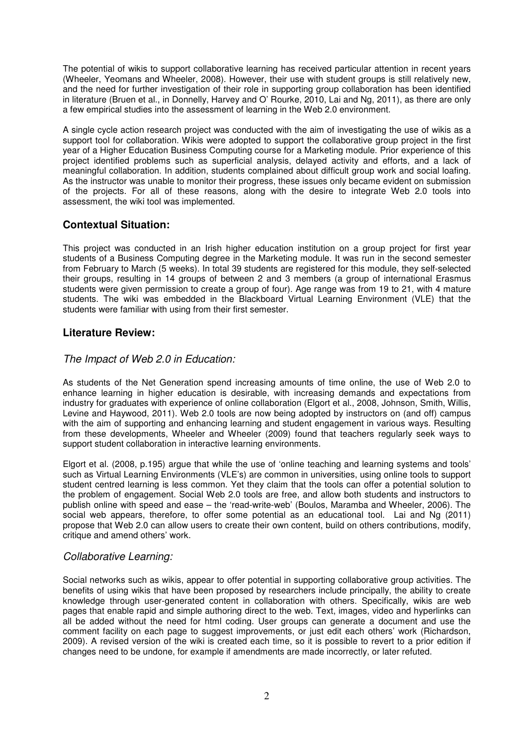The potential of wikis to support collaborative learning has received particular attention in recent years (Wheeler, Yeomans and Wheeler, 2008). However, their use with student groups is still relatively new, and the need for further investigation of their role in supporting group collaboration has been identified in literature (Bruen et al., in Donnelly, Harvey and O' Rourke, 2010, Lai and Ng, 2011), as there are only a few empirical studies into the assessment of learning in the Web 2.0 environment.

A single cycle action research project was conducted with the aim of investigating the use of wikis as a support tool for collaboration. Wikis were adopted to support the collaborative group project in the first year of a Higher Education Business Computing course for a Marketing module. Prior experience of this project identified problems such as superficial analysis, delayed activity and efforts, and a lack of meaningful collaboration. In addition, students complained about difficult group work and social loafing. As the instructor was unable to monitor their progress, these issues only became evident on submission of the projects. For all of these reasons, along with the desire to integrate Web 2.0 tools into assessment, the wiki tool was implemented.

## **Contextual Situation:**

This project was conducted in an Irish higher education institution on a group project for first year students of a Business Computing degree in the Marketing module. It was run in the second semester from February to March (5 weeks). In total 39 students are registered for this module, they self-selected their groups, resulting in 14 groups of between 2 and 3 members (a group of international Erasmus students were given permission to create a group of four). Age range was from 19 to 21, with 4 mature students. The wiki was embedded in the Blackboard Virtual Learning Environment (VLE) that the students were familiar with using from their first semester.

## **Literature Review:**

## The Impact of Web 2.0 in Education:

As students of the Net Generation spend increasing amounts of time online, the use of Web 2.0 to enhance learning in higher education is desirable, with increasing demands and expectations from industry for graduates with experience of online collaboration (Elgort et al., 2008, Johnson, Smith, Willis, Levine and Haywood, 2011). Web 2.0 tools are now being adopted by instructors on (and off) campus with the aim of supporting and enhancing learning and student engagement in various ways. Resulting from these developments, Wheeler and Wheeler (2009) found that teachers regularly seek ways to support student collaboration in interactive learning environments.

Elgort et al. (2008, p.195) argue that while the use of 'online teaching and learning systems and tools' such as Virtual Learning Environments (VLE's) are common in universities, using online tools to support student centred learning is less common. Yet they claim that the tools can offer a potential solution to the problem of engagement. Social Web 2.0 tools are free, and allow both students and instructors to publish online with speed and ease – the 'read-write-web' (Boulos, Maramba and Wheeler, 2006). The social web appears, therefore, to offer some potential as an educational tool. Lai and Ng (2011) propose that Web 2.0 can allow users to create their own content, build on others contributions, modify, critique and amend others' work.

## Collaborative Learning:

Social networks such as wikis, appear to offer potential in supporting collaborative group activities. The benefits of using wikis that have been proposed by researchers include principally, the ability to create knowledge through user-generated content in collaboration with others. Specifically, wikis are web pages that enable rapid and simple authoring direct to the web. Text, images, video and hyperlinks can all be added without the need for html coding. User groups can generate a document and use the comment facility on each page to suggest improvements, or just edit each others' work (Richardson, 2009). A revised version of the wiki is created each time, so it is possible to revert to a prior edition if changes need to be undone, for example if amendments are made incorrectly, or later refuted.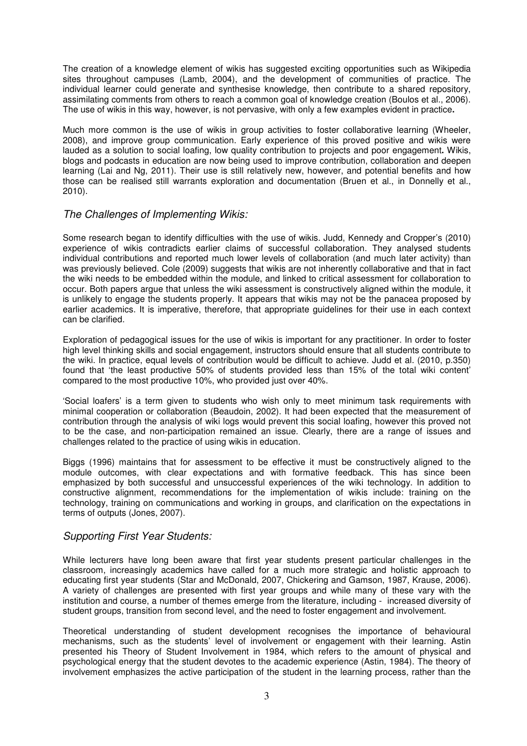The creation of a knowledge element of wikis has suggested exciting opportunities such as Wikipedia sites throughout campuses (Lamb, 2004), and the development of communities of practice. The individual learner could generate and synthesise knowledge, then contribute to a shared repository, assimilating comments from others to reach a common goal of knowledge creation (Boulos et al., 2006). The use of wikis in this way, however, is not pervasive, with only a few examples evident in practice**.** 

Much more common is the use of wikis in group activities to foster collaborative learning (Wheeler, 2008), and improve group communication. Early experience of this proved positive and wikis were lauded as a solution to social loafing, low quality contribution to projects and poor engagement**.** Wikis, blogs and podcasts in education are now being used to improve contribution, collaboration and deepen learning (Lai and Ng, 2011). Their use is still relatively new, however, and potential benefits and how those can be realised still warrants exploration and documentation (Bruen et al., in Donnelly et al., 2010).

#### The Challenges of Implementing Wikis:

Some research began to identify difficulties with the use of wikis. Judd, Kennedy and Cropper's (2010) experience of wikis contradicts earlier claims of successful collaboration. They analysed students individual contributions and reported much lower levels of collaboration (and much later activity) than was previously believed. Cole (2009) suggests that wikis are not inherently collaborative and that in fact the wiki needs to be embedded within the module, and linked to critical assessment for collaboration to occur. Both papers argue that unless the wiki assessment is constructively aligned within the module, it is unlikely to engage the students properly. It appears that wikis may not be the panacea proposed by earlier academics. It is imperative, therefore, that appropriate guidelines for their use in each context can be clarified.

Exploration of pedagogical issues for the use of wikis is important for any practitioner. In order to foster high level thinking skills and social engagement, instructors should ensure that all students contribute to the wiki. In practice, equal levels of contribution would be difficult to achieve. Judd et al. (2010, p.350) found that 'the least productive 50% of students provided less than 15% of the total wiki content' compared to the most productive 10%, who provided just over 40%.

'Social loafers' is a term given to students who wish only to meet minimum task requirements with minimal cooperation or collaboration (Beaudoin, 2002). It had been expected that the measurement of contribution through the analysis of wiki logs would prevent this social loafing, however this proved not to be the case, and non-participation remained an issue. Clearly, there are a range of issues and challenges related to the practice of using wikis in education.

Biggs (1996) maintains that for assessment to be effective it must be constructively aligned to the module outcomes, with clear expectations and with formative feedback. This has since been emphasized by both successful and unsuccessful experiences of the wiki technology. In addition to constructive alignment, recommendations for the implementation of wikis include: training on the technology, training on communications and working in groups, and clarification on the expectations in terms of outputs (Jones, 2007).

## Supporting First Year Students:

While lecturers have long been aware that first year students present particular challenges in the classroom, increasingly academics have called for a much more strategic and holistic approach to educating first year students (Star and McDonald, 2007, Chickering and Gamson, 1987, Krause, 2006). A variety of challenges are presented with first year groups and while many of these vary with the institution and course, a number of themes emerge from the literature, including - increased diversity of student groups, transition from second level, and the need to foster engagement and involvement.

Theoretical understanding of student development recognises the importance of behavioural mechanisms, such as the students' level of involvement or engagement with their learning. Astin presented his Theory of Student Involvement in 1984, which refers to the amount of physical and psychological energy that the student devotes to the academic experience (Astin, 1984). The theory of involvement emphasizes the active participation of the student in the learning process, rather than the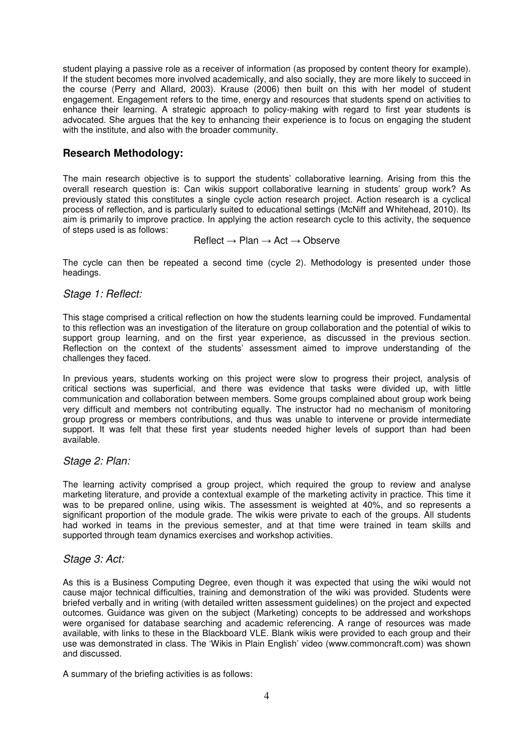student playing a passive role as a receiver of information (as proposed by content theory for example). If the student becomes more involved academically, and also socially, they are more likely to succeed in the course (Perry and Allard, 2003). Krause (2006) then built on this with her model of student engagement. Engagement refers to the time, energy and resources that students spend on activities to enhance their learning. A strategic approach to policy-making with regard to first year students is advocated. She argues that the key to enhancing their experience is to focus on engaging the student with the institute, and also with the broader community.

## **Research Methodology:**

The main research objective is to support the students' collaborative learning. Arising from this the overall research question is: Can wikis support collaborative learning in students' group work? As previously stated this constitutes a single cycle action research project. Action research is a cyclical process of reflection, and is particularly suited to educational settings (McNiff and Whitehead, 2010). Its aim is primarily to improve practice. In applying the action research cycle to this activity, the sequence of steps used is as follows:

## Reflect → Plan → Act → Observe

The cycle can then be repeated a second time (cycle 2). Methodology is presented under those headings.

#### Stage 1: Reflect:

This stage comprised a critical reflection on how the students learning could be improved. Fundamental to this reflection was an investigation of the literature on group collaboration and the potential of wikis to support group learning, and on the first year experience, as discussed in the previous section. Reflection on the context of the students' assessment aimed to improve understanding of the challenges they faced.

In previous years, students working on this project were slow to progress their project, analysis of critical sections was superficial, and there was evidence that tasks were divided up, with little communication and collaboration between members. Some groups complained about group work being very difficult and members not contributing equally. The instructor had no mechanism of monitoring group progress or members contributions, and thus was unable to intervene or provide intermediate support. It was felt that these first year students needed higher levels of support than had been available.

#### Stage 2: Plan:

The learning activity comprised a group project, which required the group to review and analyse marketing literature, and provide a contextual example of the marketing activity in practice. This time it was to be prepared online, using wikis. The assessment is weighted at 40%, and so represents a significant proportion of the module grade. The wikis were private to each of the groups. All students had worked in teams in the previous semester, and at that time were trained in team skills and supported through team dynamics exercises and workshop activities.

#### Stage 3: Act:

As this is a Business Computing Degree, even though it was expected that using the wiki would not cause major technical difficulties, training and demonstration of the wiki was provided. Students were briefed verbally and in writing (with detailed written assessment guidelines) on the project and expected outcomes. Guidance was given on the subject (Marketing) concepts to be addressed and workshops were organised for database searching and academic referencing. A range of resources was made available, with links to these in the Blackboard VLE. Blank wikis were provided to each group and their use was demonstrated in class. The 'Wikis in Plain English' video (www.commoncraft.com) was shown and discussed.

A summary of the briefing activities is as follows: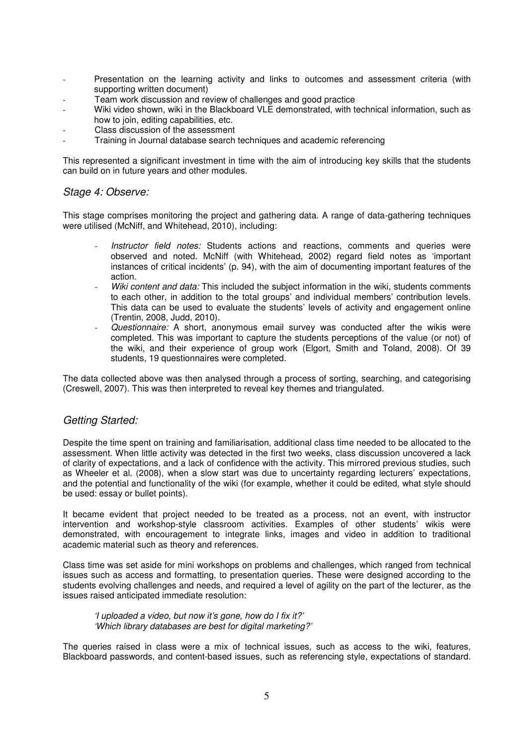- Presentation on the learning activity and links to outcomes and assessment criteria (with supporting written document)
- Team work discussion and review of challenges and good practice
- Wiki video shown, wiki in the Blackboard VLE demonstrated, with technical information, such as how to join, editing capabilities, etc.
- Class discussion of the assessment
- Training in Journal database search techniques and academic referencing

This represented a significant investment in time with the aim of introducing key skills that the students can build on in future years and other modules.

#### Stage 4: Observe:

This stage comprises monitoring the project and gathering data. A range of data-gathering techniques were utilised (McNiff, and Whitehead, 2010), including:

- Instructor field notes: Students actions and reactions, comments and queries were observed and noted. McNiff (with Whitehead, 2002) regard field notes as 'important instances of critical incidents' (p. 94), with the aim of documenting important features of the action.
- Wiki content and data: This included the subject information in the wiki, students comments to each other, in addition to the total groups' and individual members' contribution levels. This data can be used to evaluate the students' levels of activity and engagement online (Trentin, 2008, Judd, 2010).
- Questionnaire: A short, anonymous email survey was conducted after the wikis were completed. This was important to capture the students perceptions of the value (or not) of the wiki, and their experience of group work (Elgort, Smith and Toland, 2008). Of 39 students, 19 questionnaires were completed.

The data collected above was then analysed through a process of sorting, searching, and categorising (Creswell, 2007). This was then interpreted to reveal key themes and triangulated.

## Getting Started:

Despite the time spent on training and familiarisation, additional class time needed to be allocated to the assessment. When little activity was detected in the first two weeks, class discussion uncovered a lack of clarity of expectations, and a lack of confidence with the activity. This mirrored previous studies, such as Wheeler et al. (2008), when a slow start was due to uncertainty regarding lecturers' expectations, and the potential and functionality of the wiki (for example, whether it could be edited, what style should be used: essay or bullet points).

It became evident that project needed to be treated as a process, not an event, with instructor intervention and workshop-style classroom activities. Examples of other students' wikis were demonstrated, with encouragement to integrate links, images and video in addition to traditional academic material such as theory and references.

Class time was set aside for mini workshops on problems and challenges, which ranged from technical issues such as access and formatting, to presentation queries. These were designed according to the students evolving challenges and needs, and required a level of agility on the part of the lecturer, as the issues raised anticipated immediate resolution:

'I uploaded a video, but now it's gone, how do I fix it?' 'Which library databases are best for digital marketing?'

The queries raised in class were a mix of technical issues, such as access to the wiki, features, Blackboard passwords, and content-based issues, such as referencing style, expectations of standard.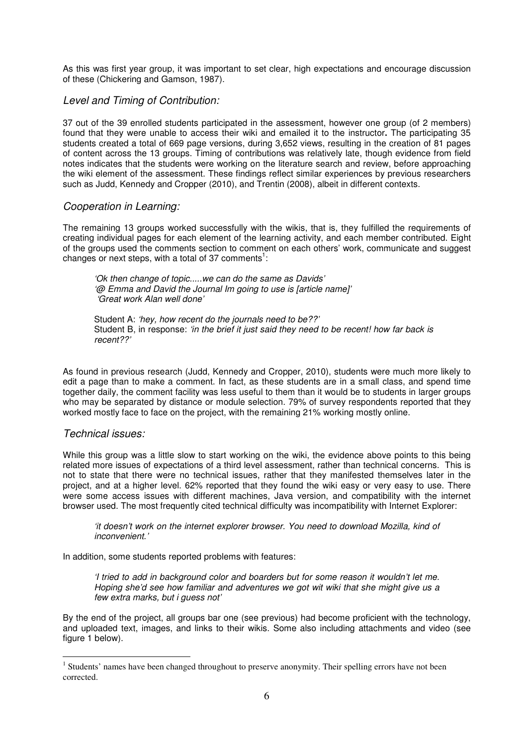As this was first year group, it was important to set clear, high expectations and encourage discussion of these (Chickering and Gamson, 1987).

## Level and Timing of Contribution:

37 out of the 39 enrolled students participated in the assessment, however one group (of 2 members) found that they were unable to access their wiki and emailed it to the instructor**.** The participating 35 students created a total of 669 page versions, during 3,652 views, resulting in the creation of 81 pages of content across the 13 groups. Timing of contributions was relatively late, though evidence from field notes indicates that the students were working on the literature search and review, before approaching the wiki element of the assessment. These findings reflect similar experiences by previous researchers such as Judd, Kennedy and Cropper (2010), and Trentin (2008), albeit in different contexts.

#### Cooperation in Learning:

The remaining 13 groups worked successfully with the wikis, that is, they fulfilled the requirements of creating individual pages for each element of the learning activity, and each member contributed. Eight of the groups used the comments section to comment on each others' work, communicate and suggest changes or next steps, with a total of 37 comments<sup>1</sup>:

'Ok then change of topic.....we can do the same as Davids' '@ Emma and David the Journal Im going to use is [article name]' 'Great work Alan well done'

Student A: 'hey, how recent do the journals need to be??' Student B, in response: 'in the brief it just said they need to be recent! how far back is recent??'

As found in previous research (Judd, Kennedy and Cropper, 2010), students were much more likely to edit a page than to make a comment. In fact, as these students are in a small class, and spend time together daily, the comment facility was less useful to them than it would be to students in larger groups who may be separated by distance or module selection. 79% of survey respondents reported that they worked mostly face to face on the project, with the remaining 21% working mostly online.

## Technical issues:

 $\overline{a}$ 

While this group was a little slow to start working on the wiki, the evidence above points to this being related more issues of expectations of a third level assessment, rather than technical concerns. This is not to state that there were no technical issues, rather that they manifested themselves later in the project, and at a higher level. 62% reported that they found the wiki easy or very easy to use. There were some access issues with different machines, Java version, and compatibility with the internet browser used. The most frequently cited technical difficulty was incompatibility with Internet Explorer:

'it doesn't work on the internet explorer browser. You need to download Mozilla, kind of inconvenient.'

In addition, some students reported problems with features:

'I tried to add in background color and boarders but for some reason it wouldn't let me. Hoping she'd see how familiar and adventures we got wit wiki that she might give us a few extra marks, but i guess not'

By the end of the project, all groups bar one (see previous) had become proficient with the technology, and uploaded text, images, and links to their wikis. Some also including attachments and video (see figure 1 below).

<sup>&</sup>lt;sup>1</sup> Students' names have been changed throughout to preserve anonymity. Their spelling errors have not been corrected.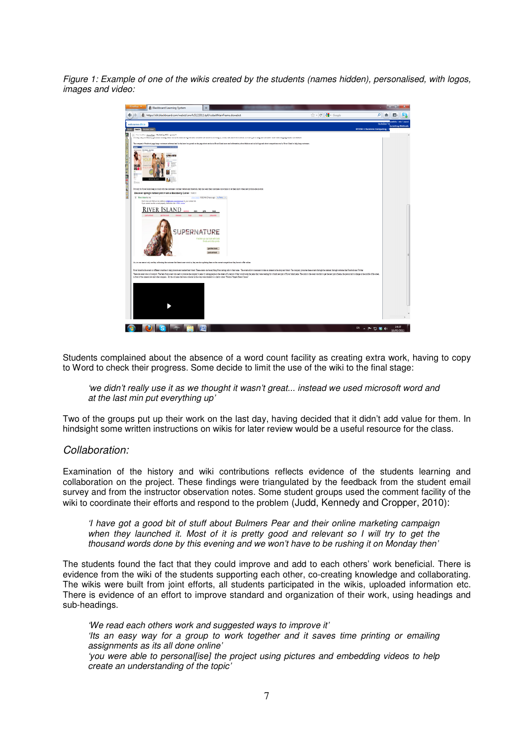Figure 1: Example of one of the wikis created by the students (names hidden), personalised, with logos, images and video:

| Firefox *                                                        | & Blackboard Learning System                                                                                                                                                                                                                                                                                                                                                                                                                                                                                                                                                                                                                                                                                                                                                                                      | $\ddot{}$                                     |  |  |                               |              |            | <b>STATISTICS</b><br>x   |   |
|------------------------------------------------------------------|-------------------------------------------------------------------------------------------------------------------------------------------------------------------------------------------------------------------------------------------------------------------------------------------------------------------------------------------------------------------------------------------------------------------------------------------------------------------------------------------------------------------------------------------------------------------------------------------------------------------------------------------------------------------------------------------------------------------------------------------------------------------------------------------------------------------|-----------------------------------------------|--|--|-------------------------------|--------------|------------|--------------------------|---|
| ←                                                                | https://dit.blackboard.com/webct/urw/lc5122011.tp0/cobaltMainFrame.dowebct                                                                                                                                                                                                                                                                                                                                                                                                                                                                                                                                                                                                                                                                                                                                        |                                               |  |  | ☆ - @ <mark>상</mark> - Google | م            |            |                          |   |
| webcourses.dit.ie                                                |                                                                                                                                                                                                                                                                                                                                                                                                                                                                                                                                                                                                                                                                                                                                                                                                                   |                                               |  |  |                               |              | my Modules | Bilde   Hole   Log out   |   |
| DT354-1 Business Computing - M<br>Boild <b>Test</b> Student View |                                                                                                                                                                                                                                                                                                                                                                                                                                                                                                                                                                                                                                                                                                                                                                                                                   |                                               |  |  |                               |              |            | <b>Iarketing Methods</b> |   |
|                                                                  | Your location: Home Page + Marketing Wiki + group 1                                                                                                                                                                                                                                                                                                                                                                                                                                                                                                                                                                                                                                                                                                                                                               |                                               |  |  |                               |              |            |                          | × |
| 000000                                                           | Procedy to a you were to you can consequently to item and a series and consequent consequent consequently to the consequent of the analyze company to consequently the consequent of the analyzed consequent                                                                                                                                                                                                                                                                                                                                                                                                                                                                                                                                                                                                      |                                               |  |  |                               |              |            |                          |   |
| <b>Series</b>                                                    | The company's Facebook page leagu customers informed and 'in the lonor' as quoted on the page about encluding Kivar Island news and information, about the kind and style blogs and about competitions run by Kivar Island to                                                                                                                                                                                                                                                                                                                                                                                                                                                                                                                                                                                     |                                               |  |  |                               |              |            |                          |   |
|                                                                  | ENGLACIAS Rev Host - for Kin                                                                                                                                                                                                                                                                                                                                                                                                                                                                                                                                                                                                                                                                                                                                                                                      |                                               |  |  |                               |              |            |                          |   |
|                                                                  | <b>CONFIDENTIAL</b>                                                                                                                                                                                                                                                                                                                                                                                                                                                                                                                                                                                                                                                                                                                                                                                               |                                               |  |  |                               |              |            |                          |   |
| <b>CHAT RES</b>                                                  |                                                                                                                                                                                                                                                                                                                                                                                                                                                                                                                                                                                                                                                                                                                                                                                                                   |                                               |  |  |                               |              |            |                          |   |
| <b>DRLA</b>                                                      |                                                                                                                                                                                                                                                                                                                                                                                                                                                                                                                                                                                                                                                                                                                                                                                                                   |                                               |  |  |                               |              |            |                          |   |
| E                                                                |                                                                                                                                                                                                                                                                                                                                                                                                                                                                                                                                                                                                                                                                                                                                                                                                                   |                                               |  |  |                               |              |            |                          |   |
| Strates                                                          |                                                                                                                                                                                                                                                                                                                                                                                                                                                                                                                                                                                                                                                                                                                                                                                                                   |                                               |  |  |                               |              |            |                          |   |
| <b>서울연주 연주 (이용화 제품 제품</b> )                                      | Not only do River Island long in truck with the custome's via their website and finalcock, they also send their customers out e-mails to be them know when new produce are in stock:                                                                                                                                                                                                                                                                                                                                                                                                                                                                                                                                                                                                                              |                                               |  |  |                               |              |            |                          |   |
|                                                                  | Discover spring's hottest print . win a Blackberry Curve! Twellx                                                                                                                                                                                                                                                                                                                                                                                                                                                                                                                                                                                                                                                                                                                                                  |                                               |  |  |                               |              |            |                          |   |
|                                                                  | <b>B</b> River Island to me<br>Den't miss auf Add our nou address infollemains municipal cam to your contact list.<br>If you cannot see this o-mail propely, fatten this link: MTML-waters                                                                                                                                                                                                                                                                                                                                                                                                                                                                                                                                                                                                                        | than deals 10:02 AM (3 hours age) 4, Reply 14 |  |  |                               |              |            |                          |   |
|                                                                  |                                                                                                                                                                                                                                                                                                                                                                                                                                                                                                                                                                                                                                                                                                                                                                                                                   |                                               |  |  |                               |              |            |                          |   |
|                                                                  | RIVER ISLAND                                                                                                                                                                                                                                                                                                                                                                                                                                                                                                                                                                                                                                                                                                                                                                                                      |                                               |  |  |                               |              |            |                          |   |
|                                                                  | lust arrived<br>not the look                                                                                                                                                                                                                                                                                                                                                                                                                                                                                                                                                                                                                                                                                                                                                                                      |                                               |  |  |                               |              |            |                          |   |
|                                                                  |                                                                                                                                                                                                                                                                                                                                                                                                                                                                                                                                                                                                                                                                                                                                                                                                                   |                                               |  |  |                               |              |            |                          |   |
|                                                                  | <b>SHDEDNAT</b>                                                                                                                                                                                                                                                                                                                                                                                                                                                                                                                                                                                                                                                                                                                                                                                                   | UDF                                           |  |  |                               |              |            |                          |   |
|                                                                  |                                                                                                                                                                                                                                                                                                                                                                                                                                                                                                                                                                                                                                                                                                                                                                                                                   | Freshen up your look with bold                |  |  |                               |              |            |                          |   |
|                                                                  |                                                                                                                                                                                                                                                                                                                                                                                                                                                                                                                                                                                                                                                                                                                                                                                                                   | forals and disy perts                         |  |  |                               |              |            |                          |   |
|                                                                  |                                                                                                                                                                                                                                                                                                                                                                                                                                                                                                                                                                                                                                                                                                                                                                                                                   | cet the look                                  |  |  |                               |              |            |                          |   |
|                                                                  |                                                                                                                                                                                                                                                                                                                                                                                                                                                                                                                                                                                                                                                                                                                                                                                                                   | just arrived >                                |  |  |                               |              |            |                          |   |
|                                                                  |                                                                                                                                                                                                                                                                                                                                                                                                                                                                                                                                                                                                                                                                                                                                                                                                                   |                                               |  |  |                               |              |            |                          |   |
|                                                                  | As you can see not only are they informing the customer that there is new stock in, they are also updefing them on the current competitions they have to offer online.<br>River Island holds every in different counties to help promote and market their. These events can be arribled from contine colls to their soles. The events allows allows a close to instead interest in the loco and broad. T<br>They lot even you in Liveron! The least from your you can you can ave to company is easy in your lot and the youth and the youth company to keep the you can receive you that the party of Nive Mand jours. The centro the wan<br>in front of the cannot crew and other shoppers. All the old jeans that ware collected in the crops ware donated to a cluster called "Fashion Targets Dream Cancer". |                                               |  |  |                               |              |            |                          |   |
|                                                                  |                                                                                                                                                                                                                                                                                                                                                                                                                                                                                                                                                                                                                                                                                                                                                                                                                   |                                               |  |  |                               |              |            |                          |   |
|                                                                  |                                                                                                                                                                                                                                                                                                                                                                                                                                                                                                                                                                                                                                                                                                                                                                                                                   |                                               |  |  |                               |              |            |                          |   |
|                                                                  |                                                                                                                                                                                                                                                                                                                                                                                                                                                                                                                                                                                                                                                                                                                                                                                                                   |                                               |  |  |                               |              |            |                          |   |
|                                                                  |                                                                                                                                                                                                                                                                                                                                                                                                                                                                                                                                                                                                                                                                                                                                                                                                                   |                                               |  |  |                               |              |            |                          |   |
|                                                                  |                                                                                                                                                                                                                                                                                                                                                                                                                                                                                                                                                                                                                                                                                                                                                                                                                   |                                               |  |  |                               |              |            |                          |   |
|                                                                  |                                                                                                                                                                                                                                                                                                                                                                                                                                                                                                                                                                                                                                                                                                                                                                                                                   |                                               |  |  |                               |              |            |                          |   |
|                                                                  |                                                                                                                                                                                                                                                                                                                                                                                                                                                                                                                                                                                                                                                                                                                                                                                                                   |                                               |  |  |                               |              |            |                          |   |
|                                                                  |                                                                                                                                                                                                                                                                                                                                                                                                                                                                                                                                                                                                                                                                                                                                                                                                                   |                                               |  |  |                               |              |            |                          |   |
|                                                                  |                                                                                                                                                                                                                                                                                                                                                                                                                                                                                                                                                                                                                                                                                                                                                                                                                   |                                               |  |  |                               |              |            |                          |   |
|                                                                  |                                                                                                                                                                                                                                                                                                                                                                                                                                                                                                                                                                                                                                                                                                                                                                                                                   | 四                                             |  |  |                               | EN A P 日等 40 |            | 14:37                    |   |
|                                                                  |                                                                                                                                                                                                                                                                                                                                                                                                                                                                                                                                                                                                                                                                                                                                                                                                                   |                                               |  |  |                               |              |            | 16/05/2011               |   |

Students complained about the absence of a word count facility as creating extra work, having to copy to Word to check their progress. Some decide to limit the use of the wiki to the final stage:

#### 'we didn't really use it as we thought it wasn't great... instead we used microsoft word and at the last min put everything up'

Two of the groups put up their work on the last day, having decided that it didn't add value for them. In hindsight some written instructions on wikis for later review would be a useful resource for the class.

#### Collaboration:

Examination of the history and wiki contributions reflects evidence of the students learning and collaboration on the project. These findings were triangulated by the feedback from the student email survey and from the instructor observation notes. Some student groups used the comment facility of the wiki to coordinate their efforts and respond to the problem (Judd, Kennedy and Cropper, 2010):

'I have got a good bit of stuff about Bulmers Pear and their online marketing campaign when they launched it. Most of it is pretty good and relevant so I will try to get the thousand words done by this evening and we won't have to be rushing it on Monday then'

The students found the fact that they could improve and add to each others' work beneficial. There is evidence from the wiki of the students supporting each other, co-creating knowledge and collaborating. The wikis were built from joint efforts, all students participated in the wikis, uploaded information etc. There is evidence of an effort to improve standard and organization of their work, using headings and sub-headings.

'We read each others work and suggested ways to improve it' 'Its an easy way for a group to work together and it saves time printing or emailing assignments as its all done online' 'you were able to personallisel the project using pictures and embedding videos to help create an understanding of the topic'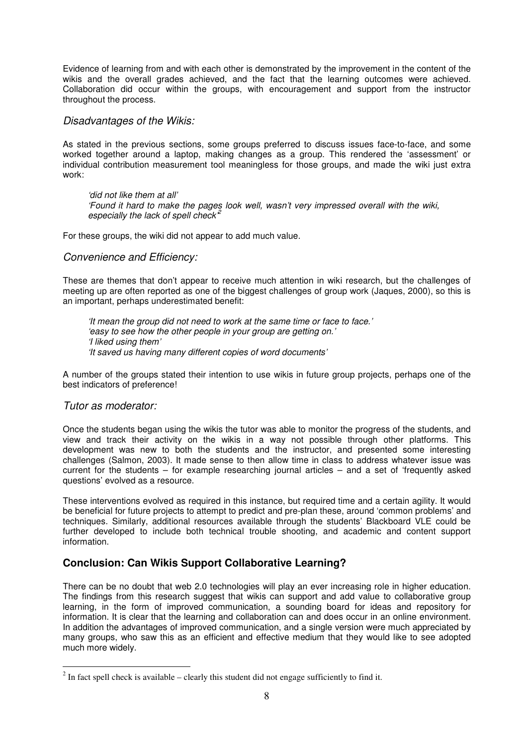Evidence of learning from and with each other is demonstrated by the improvement in the content of the wikis and the overall grades achieved, and the fact that the learning outcomes were achieved. Collaboration did occur within the groups, with encouragement and support from the instructor throughout the process.

#### Disadvantages of the Wikis:

As stated in the previous sections, some groups preferred to discuss issues face-to-face, and some worked together around a laptop, making changes as a group. This rendered the 'assessment' or individual contribution measurement tool meaningless for those groups, and made the wiki just extra work:

'did not like them at all' 'Found it hard to make the pages look well, wasn't very impressed overall with the wiki, especially the lack of spell check<sup> $2$ </sup>

For these groups, the wiki did not appear to add much value.

#### Convenience and Efficiency:

These are themes that don't appear to receive much attention in wiki research, but the challenges of meeting up are often reported as one of the biggest challenges of group work (Jaques, 2000), so this is an important, perhaps underestimated benefit:

'It mean the group did not need to work at the same time or face to face.' 'easy to see how the other people in your group are getting on.' 'I liked using them' 'It saved us having many different copies of word documents'

A number of the groups stated their intention to use wikis in future group projects, perhaps one of the best indicators of preference!

#### Tutor as moderator:

 $\overline{a}$ 

Once the students began using the wikis the tutor was able to monitor the progress of the students, and view and track their activity on the wikis in a way not possible through other platforms. This development was new to both the students and the instructor, and presented some interesting challenges (Salmon, 2003). It made sense to then allow time in class to address whatever issue was current for the students – for example researching journal articles – and a set of 'frequently asked questions' evolved as a resource.

These interventions evolved as required in this instance, but required time and a certain agility. It would be beneficial for future projects to attempt to predict and pre-plan these, around 'common problems' and techniques. Similarly, additional resources available through the students' Blackboard VLE could be further developed to include both technical trouble shooting, and academic and content support information.

## **Conclusion: Can Wikis Support Collaborative Learning?**

There can be no doubt that web 2.0 technologies will play an ever increasing role in higher education. The findings from this research suggest that wikis can support and add value to collaborative group learning, in the form of improved communication, a sounding board for ideas and repository for information. It is clear that the learning and collaboration can and does occur in an online environment. In addition the advantages of improved communication, and a single version were much appreciated by many groups, who saw this as an efficient and effective medium that they would like to see adopted much more widely.

 $2^{2}$  In fact spell check is available – clearly this student did not engage sufficiently to find it.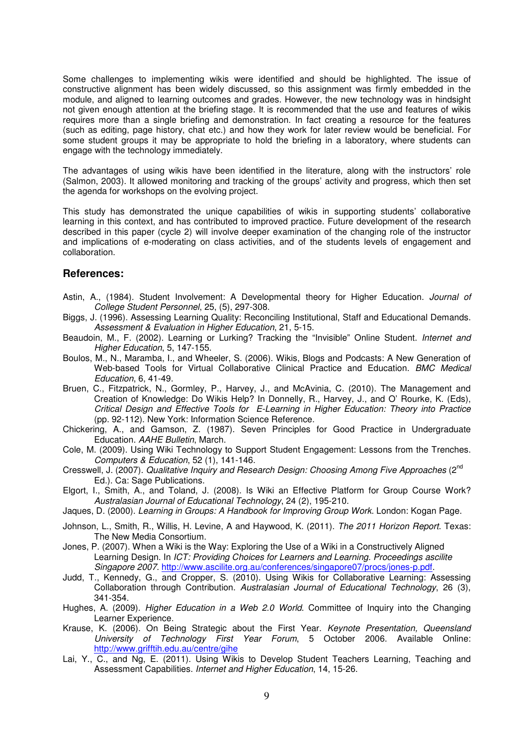Some challenges to implementing wikis were identified and should be highlighted. The issue of constructive alignment has been widely discussed, so this assignment was firmly embedded in the module, and aligned to learning outcomes and grades. However, the new technology was in hindsight not given enough attention at the briefing stage. It is recommended that the use and features of wikis requires more than a single briefing and demonstration. In fact creating a resource for the features (such as editing, page history, chat etc.) and how they work for later review would be beneficial. For some student groups it may be appropriate to hold the briefing in a laboratory, where students can engage with the technology immediately.

The advantages of using wikis have been identified in the literature, along with the instructors' role (Salmon, 2003). It allowed monitoring and tracking of the groups' activity and progress, which then set the agenda for workshops on the evolving project.

This study has demonstrated the unique capabilities of wikis in supporting students' collaborative learning in this context, and has contributed to improved practice. Future development of the research described in this paper (cycle 2) will involve deeper examination of the changing role of the instructor and implications of e-moderating on class activities, and of the students levels of engagement and collaboration.

#### **References:**

- Astin, A., (1984). Student Involvement: A Developmental theory for Higher Education. Journal of College Student Personnel, 25, (5), 297-308.
- Biggs, J. (1996). Assessing Learning Quality: Reconciling Institutional, Staff and Educational Demands. Assessment & Evaluation in Higher Education, 21, 5-15.
- Beaudoin, M., F. (2002). Learning or Lurking? Tracking the "Invisible" Online Student. Internet and Higher Education, 5, 147-155.
- Boulos, M., N., Maramba, I., and Wheeler, S. (2006). Wikis, Blogs and Podcasts: A New Generation of Web-based Tools for Virtual Collaborative Clinical Practice and Education. BMC Medical Education, 6, 41-49.
- Bruen, C., Fitzpatrick, N., Gormley, P., Harvey, J., and McAvinia, C. (2010). The Management and Creation of Knowledge: Do Wikis Help? In Donnelly, R., Harvey, J., and O' Rourke, K. (Eds), Critical Design and Effective Tools for E-Learning in Higher Education: Theory into Practice (pp. 92-112). New York: Information Science Reference.
- Chickering, A., and Gamson, Z. (1987). Seven Principles for Good Practice in Undergraduate Education. AAHE Bulletin, March.
- Cole, M. (2009). Using Wiki Technology to Support Student Engagement: Lessons from the Trenches. Computers & Education, 52 (1), 141-146.
- Cresswell, J. (2007). Qualitative Inquiry and Research Design: Choosing Among Five Approaches (2<sup>nd</sup> Ed.). Ca: Sage Publications.
- Elgort, I., Smith, A., and Toland, J. (2008). Is Wiki an Effective Platform for Group Course Work? Australasian Journal of Educational Technology, 24 (2), 195-210.
- Jaques, D. (2000). Learning in Groups: A Handbook for Improving Group Work. London: Kogan Page.
- Johnson, L., Smith, R., Willis, H. Levine, A and Haywood, K. (2011). The 2011 Horizon Report. Texas: The New Media Consortium.
- Jones, P. (2007). When a Wiki is the Way: Exploring the Use of a Wiki in a Constructively Aligned Learning Design. In ICT: Providing Choices for Learners and Learning. Proceedings ascilite Singapore 2007. http://www.ascilite.org.au/conferences/singapore07/procs/jones-p.pdf.
- Judd, T., Kennedy, G., and Cropper, S. (2010). Using Wikis for Collaborative Learning: Assessing Collaboration through Contribution. Australasian Journal of Educational Technology, 26 (3), 341-354.
- Hughes, A. (2009). Higher Education in a Web 2.0 World. Committee of Inquiry into the Changing Learner Experience.
- Krause, K. (2006). On Being Strategic about the First Year. Keynote Presentation, Queensland University of Technology First Year Forum, 5 October 2006. Available Online: http://www.grifftih.edu.au/centre/gihe
- Lai, Y., C., and Ng, E. (2011). Using Wikis to Develop Student Teachers Learning, Teaching and Assessment Capabilities. Internet and Higher Education, 14, 15-26.